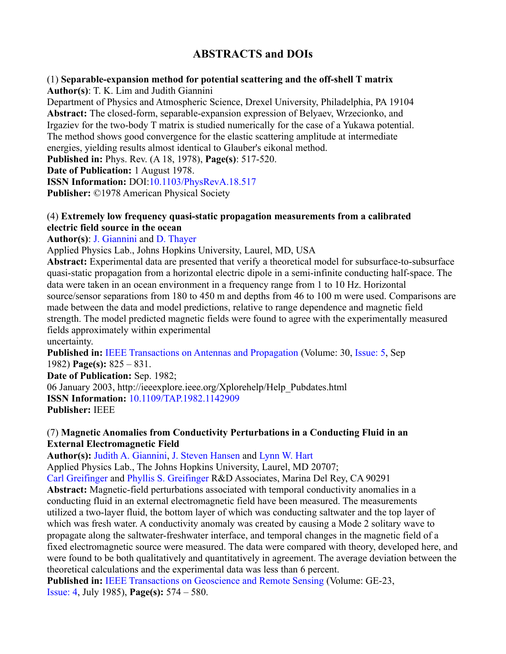# **ABSTRACTS and DOIs**

# (1) **Separable-expansion method for potential scattering and the off-shell T matrix**

**Author(s)**: T. K. Lim and Judith Giannini

Department of Physics and Atmospheric Science, Drexel University, Philadelphia, PA 19104 **Abstract:** The closed-form, separable-expansion expression of Belyaev, Wrzecionko, and Irgaziev for the two-body T matrix is studied numerically for the case of a Yukawa potential. The method shows good convergence for the elastic scattering amplitude at intermediate energies, yielding results almost identical to Glauber's eikonal method.

**Published in:** Phys. Rev. (A 18, 1978), **Page(s)**: 517-520.

**Date of Publication:** 1 August 1978.

**ISSN Information:** DOI:10.1103/PhysRevA.18.517

**Publisher:** ©1978 American Physical Society

# (4) **Extremely low frequency quasi-static propagation measurements from a calibrated electric field source in the ocean**

**Author(s)**: J. Giannini and D. Thayer

Applied Physics Lab., Johns Hopkins University, Laurel, MD, USA

**Abstract:** Experimental data are presented that verify a theoretical model for subsurface-to-subsurface quasi-static propagation from a horizontal electric dipole in a semi-infinite conducting half-space. The data were taken in an ocean environment in a frequency range from 1 to 10 Hz. Horizontal source/sensor separations from 180 to 450 m and depths from 46 to 100 m were used. Comparisons are made between the data and model predictions, relative to range dependence and magnetic field strength. The model predicted magnetic fields were found to agree with the experimentally measured fields approximately within experimental uncertainty.

**Published in:** IEEE Transactions on Antennas and Propagation (Volume: 30, Issue: 5, Sep 1982) **Page(s):** 825 – 831.

**Date of Publication:** Sep. 1982;

06 January 2003, http://ieeexplore.ieee.org/Xplorehelp/Help\_Pubdates.html **ISSN Information:** 10.1109/TAP.1982.1142909 **Publisher:** IEEE

# (7) **Magnetic Anomalies from Conductivity Perturbations in a Conducting Fluid in an External Electromagnetic Field**

**Author(s):** Judith A. Giannini, J. Steven Hansen and Lynn W. Hart

Applied Physics Lab., The Johns Hopkins University, Laurel, MD 20707;

Carl Greifinger and Phyllis S. Greifinger R&D Associates, Marina Del Rey, CA 90291

**Abstract:** Magnetic-field perturbations associated with temporal conductivity anomalies in a conducting fluid in an external electromagnetic field have been measured. The measurements utilized a two-layer fluid, the bottom layer of which was conducting saltwater and the top layer of which was fresh water. A conductivity anomaly was created by causing a Mode 2 solitary wave to propagate along the saltwater-freshwater interface, and temporal changes in the magnetic field of a fixed electromagnetic source were measured. The data were compared with theory, developed here, and were found to be both qualitatively and quantitatively in agreement. The average deviation between the theoretical calculations and the experimental data was less than 6 percent.

**Published in:** IEEE Transactions on Geoscience and Remote Sensing (Volume: GE-23, Issue: 4, July 1985), **Page(s):** 574 – 580.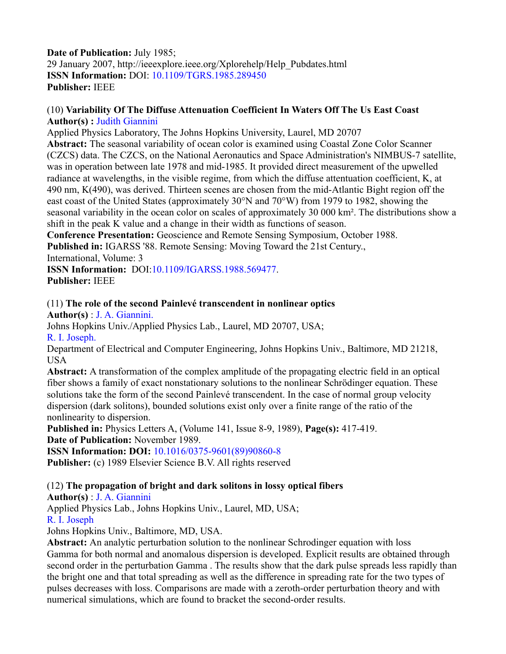# **Date of Publication:** July 1985; 29 January 2007, http://ieeexplore.ieee.org/Xplorehelp/Help\_Pubdates.html **ISSN Information:** DOI: 10.1109/TGRS.1985.289450 **Publisher:** IEEE

#### (10) **Variability Of The Diffuse Attenuation Coefficient In Waters Off The Us East Coast Author(s) :** Judith Giannini

Applied Physics Laboratory, The Johns Hopkins University, Laurel, MD 20707 **Abstract:** The seasonal variability of ocean color is examined using Coastal Zone Color Scanner (CZCS) data. The CZCS, on the National Aeronautics and Space Administration's NIMBUS-7 satellite, was in operation between late 1978 and mid-1985. It provided direct measurement of the upwelled radiance at wavelengths, in the visible regime, from which the diffuse attentuation coefficient, K, at 490 nm, K(490), was derived. Thirteen scenes are chosen from the mid-Atlantic Bight region off the east coast of the United States (approximately 30°N and 70°W) from 1979 to 1982, showing the seasonal variability in the ocean color on scales of approximately 30 000 km². The distributions show a shift in the peak K value and a change in their width as functions of season.

**Conference Presentation:** Geoscience and Remote Sensing Symposium, October 1988.

**Published in:** IGARSS '88. Remote Sensing: Moving Toward the 21st Century.,

International, Volume: 3

**ISSN Information:** DOI:10.1109/IGARSS.1988.569477. **Publisher:** IEEE

# (11) **The role of the second Painlevé transcendent in nonlinear optics**

**Author(s)** : J. A. Giannini.

Johns Hopkins Univ./Applied Physics Lab., Laurel, MD 20707, USA; R. I. Joseph.

Department of Electrical and Computer Engineering, Johns Hopkins Univ., Baltimore, MD 21218, USA

**Abstract:** A transformation of the complex amplitude of the propagating electric field in an optical fiber shows a family of exact nonstationary solutions to the nonlinear Schrödinger equation. These solutions take the form of the second Painlevé transcendent. In the case of normal group velocity dispersion (dark solitons), bounded solutions exist only over a finite range of the ratio of the nonlinearity to dispersion.

**Published in:** Physics Letters A, (Volume 141, Issue 8-9, 1989), **Page(s):** 417-419. **Date of Publication:** November 1989.

**ISSN Information: DOI:** 10.1016/0375-9601(89)90860-8

**Publisher:** (c) 1989 Elsevier Science B.V. All rights reserved

# (12) **The propagation of bright and dark solitons in lossy optical fibers**

**Author(s)** : J. A. Giannini

Applied Physics Lab., Johns Hopkins Univ., Laurel, MD, USA;

R. I. Joseph

Johns Hopkins Univ., Baltimore, MD, USA.

**Abstract:** An analytic perturbation solution to the nonlinear Schrodinger equation with loss Gamma for both normal and anomalous dispersion is developed. Explicit results are obtained through second order in the perturbation Gamma . The results show that the dark pulse spreads less rapidly than the bright one and that total spreading as well as the difference in spreading rate for the two types of pulses decreases with loss. Comparisons are made with a zeroth-order perturbation theory and with numerical simulations, which are found to bracket the second-order results.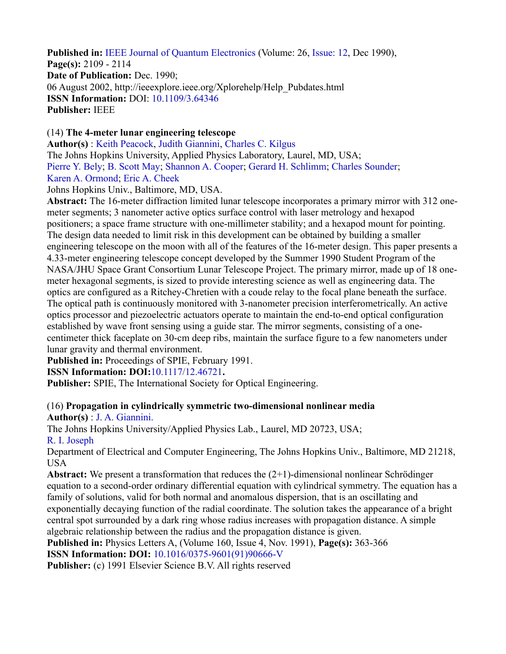**Published in:** IEEE Journal of Quantum Electronics (Volume: 26, Issue: 12, Dec 1990), **Page(s):** 2109 - 2114 **Date of Publication:** Dec. 1990; 06 August 2002, http://ieeexplore.ieee.org/Xplorehelp/Help\_Pubdates.html **ISSN Information:** DOI: 10.1109/3.64346 **Publisher:** IEEE

### (14) **The 4-meter lunar engineering telescope**

**Author(s)** : Keith Peacock, Judith Giannini, Charles C. Kilgus The Johns Hopkins University, Applied Physics Laboratory, Laurel, MD, USA; Pierre Y. Bely; B. Scott May; Shannon A. Cooper; Gerard H. Schlimm; Charles Sounder; Karen A. Ormond; Eric A. Cheek

Johns Hopkins Univ., Baltimore, MD, USA.

**Abstract:** The 16-meter diffraction limited lunar telescope incorporates a primary mirror with 312 onemeter segments; 3 nanometer active optics surface control with laser metrology and hexapod positioners; a space frame structure with one-millimeter stability; and a hexapod mount for pointing. The design data needed to limit risk in this development can be obtained by building a smaller engineering telescope on the moon with all of the features of the 16-meter design. This paper presents a 4.33-meter engineering telescope concept developed by the Summer 1990 Student Program of the NASA/JHU Space Grant Consortium Lunar Telescope Project. The primary mirror, made up of 18 onemeter hexagonal segments, is sized to provide interesting science as well as engineering data. The optics are configured as a Ritchey-Chretien with a coude relay to the focal plane beneath the surface. The optical path is continuously monitored with 3-nanometer precision interferometrically. An active optics processor and piezoelectric actuators operate to maintain the end-to-end optical configuration established by wave front sensing using a guide star. The mirror segments, consisting of a onecentimeter thick faceplate on 30-cm deep ribs, maintain the surface figure to a few nanometers under lunar gravity and thermal environment.

**Published in:** Proceedings of SPIE, February 1991.

**ISSN Information: DOI:**10.1117/12.46721**.**

**Publisher:** SPIE, The International Society for Optical Engineering.

#### (16) **Propagation in cylindrically symmetric two-dimensional nonlinear media Author(s)** : J. A. Giannini.

The Johns Hopkins University/Applied Physics Lab., Laurel, MD 20723, USA; R. I. Joseph

Department of Electrical and Computer Engineering, The Johns Hopkins Univ., Baltimore, MD 21218, USA

**Abstract:** We present a transformation that reduces the (2+1)-dimensional nonlinear Schrödinger equation to a second-order ordinary differential equation with cylindrical symmetry. The equation has a family of solutions, valid for both normal and anomalous dispersion, that is an oscillating and exponentially decaying function of the radial coordinate. The solution takes the appearance of a bright central spot surrounded by a dark ring whose radius increases with propagation distance. A simple algebraic relationship between the radius and the propagation distance is given.

**Published in:** Physics Letters A, (Volume 160, Issue 4, Nov. 1991), **Page(s):** 363-366

**ISSN Information: DOI:** 10.1016/0375-9601(91)90666-V

**Publisher:** (c) 1991 Elsevier Science B.V. All rights reserved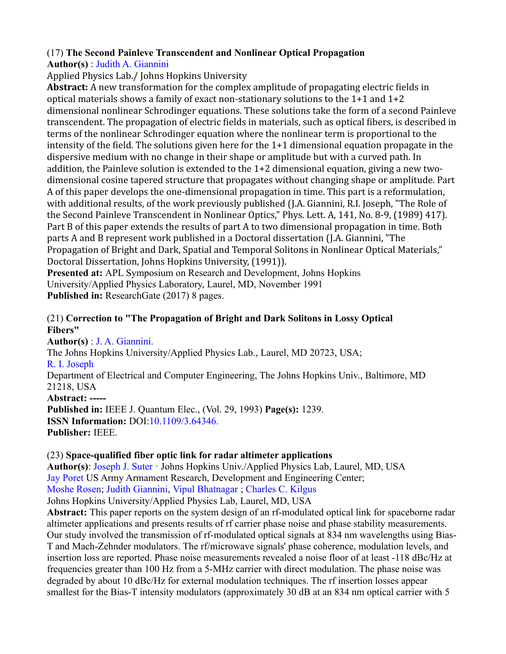# (17) **The Second Painleve Transcendent and Nonlinear Optical Propagation**

**Author(s)** : Judith A. Giannini

Applied Physics Lab./ Johns Hopkins University

**Abstract:** A new transformation for the complex amplitude of propagating electric fields in optical materials shows a family of exact non-stationary solutions to the 1+1 and 1+2 dimensional nonlinear Schrodinger equations. These solutions take the form of a second Painleve transcendent. The propagation of electric fields in materials, such as optical fibers, is described in terms of the nonlinear Schrodinger equation where the nonlinear term is proportional to the intensity of the field. The solutions given here for the 1+1 dimensional equation propagate in the dispersive medium with no change in their shape or amplitude but with a curved path. In addition, the Painleve solution is extended to the 1+2 dimensional equation, giving a new twodimensional cosine tapered structure that propagates without changing shape or amplitude. Part A of this paper develops the one-dimensional propagation in time. This part is a reformulation, with additional results, of the work previously published (J.A. Giannini, R.I. Joseph, "The Role of the Second Painleve Transcendent in Nonlinear Optics," Phys. Lett. A, 141, No. 8-9, (1989) 417). Part B of this paper extends the results of part A to two dimensional propagation in time. Both parts A and B represent work published in a Doctoral dissertation (J.A. Giannini, "The Propagation of Bright and Dark, Spatial and Temporal Solitons in Nonlinear Optical Materials," Doctoral Dissertation, Johns Hopkins University, (1991)).

**Presented at:** APL Symposium on Research and Development, Johns Hopkins University/Applied Physics Laboratory, Laurel, MD, November 1991 **Published in:** ResearchGate (2017) 8 pages.

# (21) **Correction to "The Propagation of Bright and Dark Solitons in Lossy Optical Fibers"**

**Author(s)** : J. A. Giannini. The Johns Hopkins University/Applied Physics Lab., Laurel, MD 20723, USA; R. I. Joseph Department of Electrical and Computer Engineering, The Johns Hopkins Univ., Baltimore, MD 21218, USA **Abstract: ----- Published in:** IEEE J. Quantum Elec., (Vol. 29, 1993) **Page(s):** 1239. **ISSN Information:** DOI:10.1109/3.64346. **Publisher:** IEEE.

# (23) **Space-qualified fiber optic link for radar altimeter applications**

**Author(s)**: Joseph J. Suter · Johns Hopkins Univ./Applied Physics Lab, Laurel, MD, USA Jay Poret US Army Armament Research, Development and Engineering Center; Moshe Rosen; Judith Giannini, Vipul Bhatnagar ; Charles C. Kilgus Johns Hopkins University/Applied Physics Lab, Laurel, MD, USA

**Abstract:** This paper reports on the system design of an rf-modulated optical link for spaceborne radar altimeter applications and presents results of rf carrier phase noise and phase stability measurements. Our study involved the transmission of rf-modulated optical signals at 834 nm wavelengths using Bias-T and Mach-Zehnder modulators. The rf/microwave signals' phase coherence, modulation levels, and insertion loss are reported. Phase noise measurements revealed a noise floor of at least -118 dBc/Hz at frequencies greater than 100 Hz from a 5-MHz carrier with direct modulation. The phase noise was degraded by about 10 dBc/Hz for external modulation techniques. The rf insertion losses appear smallest for the Bias-T intensity modulators (approximately 30 dB at an 834 nm optical carrier with 5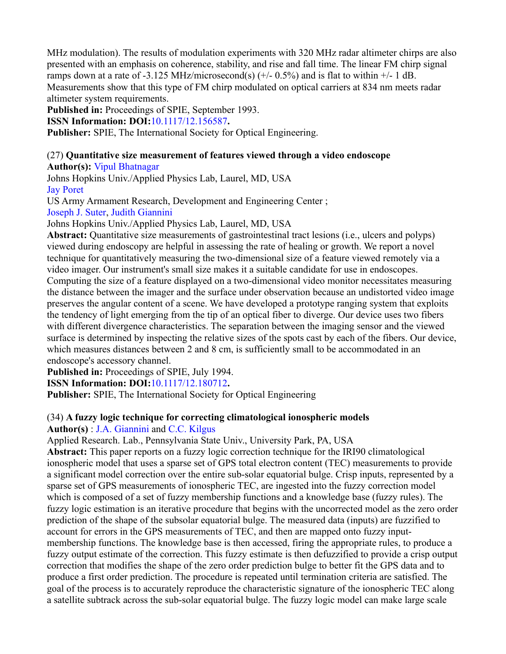MHz modulation). The results of modulation experiments with 320 MHz radar altimeter chirps are also presented with an emphasis on coherence, stability, and rise and fall time. The linear FM chirp signal ramps down at a rate of -3.125 MHz/microsecond(s)  $(+/- 0.5%)$  and is flat to within  $+/- 1$  dB. Measurements show that this type of FM chirp modulated on optical carriers at 834 nm meets radar altimeter system requirements.

**Published in:** Proceedings of SPIE, September 1993.

**ISSN Information: DOI:**10.1117/12.156587**.**

**Publisher:** SPIE, The International Society for Optical Engineering.

# (27) **Quantitative size measurement of features viewed through a video endoscope**

**Author(s):** Vipul Bhatnagar

Johns Hopkins Univ./Applied Physics Lab, Laurel, MD, USA Jay Poret

US Army Armament Research, Development and Engineering Center ;

Joseph J. Suter, Judith Giannini

Johns Hopkins Univ./Applied Physics Lab, Laurel, MD, USA

**Abstract:** Quantitative size measurements of gastrointestinal tract lesions (i.e., ulcers and polyps) viewed during endoscopy are helpful in assessing the rate of healing or growth. We report a novel technique for quantitatively measuring the two-dimensional size of a feature viewed remotely via a video imager. Our instrument's small size makes it a suitable candidate for use in endoscopes. Computing the size of a feature displayed on a two-dimensional video monitor necessitates measuring the distance between the imager and the surface under observation because an undistorted video image preserves the angular content of a scene. We have developed a prototype ranging system that exploits the tendency of light emerging from the tip of an optical fiber to diverge. Our device uses two fibers with different divergence characteristics. The separation between the imaging sensor and the viewed surface is determined by inspecting the relative sizes of the spots cast by each of the fibers. Our device, which measures distances between 2 and 8 cm, is sufficiently small to be accommodated in an endoscope's accessory channel.

**Published in:** Proceedings of SPIE, July 1994.

**ISSN Information: DOI:**10.1117/12.180712**.**

**Publisher:** SPIE, The International Society for Optical Engineering

# (34) **A fuzzy logic technique for correcting climatological ionospheric models**

**Author(s)** : J.A. Giannini and C.C. Kilgus

Applied Research. Lab., Pennsylvania State Univ., University Park, PA, USA

**Abstract:** This paper reports on a fuzzy logic correction technique for the IRI90 climatological ionospheric model that uses a sparse set of GPS total electron content (TEC) measurements to provide a significant model correction over the entire sub-solar equatorial bulge. Crisp inputs, represented by a sparse set of GPS measurements of ionospheric TEC, are ingested into the fuzzy correction model which is composed of a set of fuzzy membership functions and a knowledge base (fuzzy rules). The fuzzy logic estimation is an iterative procedure that begins with the uncorrected model as the zero order prediction of the shape of the subsolar equatorial bulge. The measured data (inputs) are fuzzified to account for errors in the GPS measurements of TEC, and then are mapped onto fuzzy inputmembership functions. The knowledge base is then accessed, firing the appropriate rules, to produce a fuzzy output estimate of the correction. This fuzzy estimate is then defuzzified to provide a crisp output correction that modifies the shape of the zero order prediction bulge to better fit the GPS data and to produce a first order prediction. The procedure is repeated until termination criteria are satisfied. The goal of the process is to accurately reproduce the characteristic signature of the ionospheric TEC along a satellite subtrack across the sub-solar equatorial bulge. The fuzzy logic model can make large scale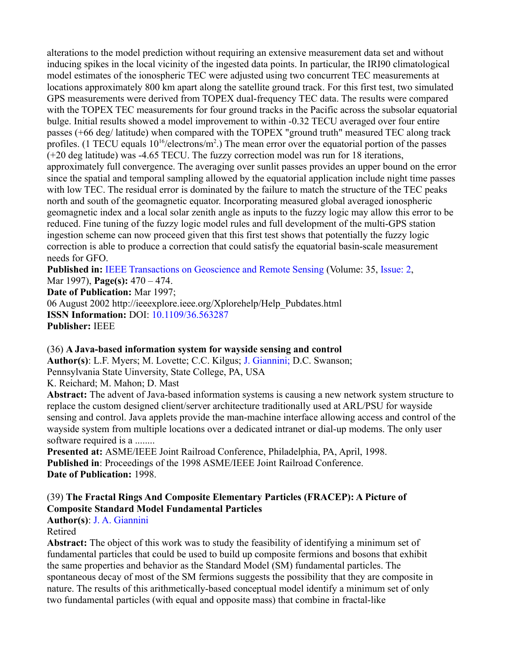alterations to the model prediction without requiring an extensive measurement data set and without inducing spikes in the local vicinity of the ingested data points. In particular, the IRI90 climatological model estimates of the ionospheric TEC were adjusted using two concurrent TEC measurements at locations approximately 800 km apart along the satellite ground track. For this first test, two simulated GPS measurements were derived from TOPEX dual-frequency TEC data. The results were compared with the TOPEX TEC measurements for four ground tracks in the Pacific across the subsolar equatorial bulge. Initial results showed a model improvement to within -0.32 TECU averaged over four entire passes (+66 deg/ latitude) when compared with the TOPEX "ground truth" measured TEC along track profiles. (1 TECU equals  $10^{16}/e$  lectrons/m<sup>2</sup>.) The mean error over the equatorial portion of the passes (+20 deg latitude) was -4.65 TECU. The fuzzy correction model was run for 18 iterations, approximately full convergence. The averaging over sunlit passes provides an upper bound on the error since the spatial and temporal sampling allowed by the equatorial application include night time passes with low TEC. The residual error is dominated by the failure to match the structure of the TEC peaks north and south of the geomagnetic equator. Incorporating measured global averaged ionospheric geomagnetic index and a local solar zenith angle as inputs to the fuzzy logic may allow this error to be reduced. Fine tuning of the fuzzy logic model rules and full development of the multi-GPS station ingestion scheme can now proceed given that this first test shows that potentially the fuzzy logic correction is able to produce a correction that could satisfy the equatorial basin-scale measurement needs for GFO.

**Published in:** IEEE Transactions on Geoscience and Remote Sensing (Volume: 35, Issue: 2, Mar 1997), **Page(s):** 470 – 474. **Date of Publication:** Mar 1997; 06 August 2002 http://ieeexplore.ieee.org/Xplorehelp/Help\_Pubdates.html **ISSN Information:** DOI: 10.1109/36.563287 **Publisher:** IEEE

#### (36) **A Java-based information system for wayside sensing and control**

**Author(s)**: L.F. Myers; M. Lovette; C.C. Kilgus; J. Giannini; D.C. Swanson; Pennsylvania State Uinversity, State College, PA, USA

K. Reichard; M. Mahon; D. Mast

**Abstract:** The advent of Java-based information systems is causing a new network system structure to replace the custom designed client/server architecture traditionally used at ARL/PSU for wayside sensing and control. Java applets provide the man-machine interface allowing access and control of the wayside system from multiple locations over a dedicated intranet or dial-up modems. The only user software required is a ........

**Presented at:** ASME/IEEE Joint Railroad Conference, Philadelphia, PA, April, 1998. **Published in**: Proceedings of the 1998 ASME/IEEE Joint Railroad Conference. **Date of Publication:** 1998.

# (39) **The Fractal Rings And Composite Elementary Particles (FRACEP): A Picture of Composite Standard Model Fundamental Particles**

**Author(s)**: J. A. Giannini

#### Retired

**Abstract:** The object of this work was to study the feasibility of identifying a minimum set of fundamental particles that could be used to build up composite fermions and bosons that exhibit the same properties and behavior as the Standard Model (SM) fundamental particles. The spontaneous decay of most of the SM fermions suggests the possibility that they are composite in nature. The results of this arithmetically-based conceptual model identify a minimum set of only two fundamental particles (with equal and opposite mass) that combine in fractal-like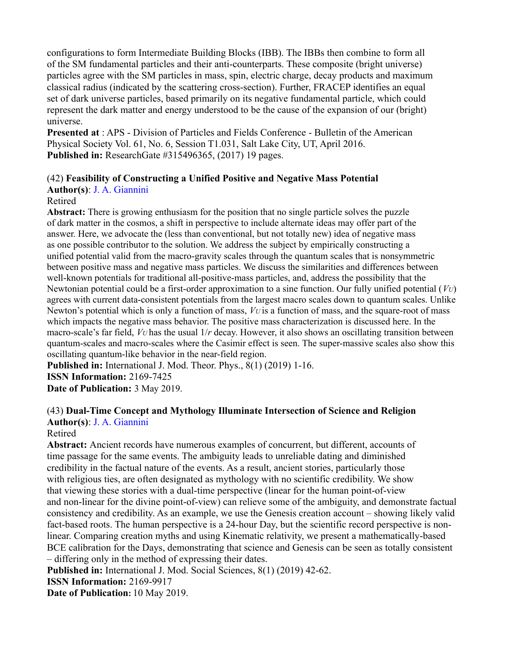configurations to form Intermediate Building Blocks (IBB). The IBBs then combine to form all of the SM fundamental particles and their anti-counterparts. These composite (bright universe) particles agree with the SM particles in mass, spin, electric charge, decay products and maximum classical radius (indicated by the scattering cross-section). Further, FRACEP identifies an equal set of dark universe particles, based primarily on its negative fundamental particle, which could represent the dark matter and energy understood to be the cause of the expansion of our (bright) universe.

**Presented at** : APS - Division of Particles and Fields Conference - Bulletin of the American Physical Society Vol. 61, No. 6, Session T1.031, Salt Lake City, UT, April 2016. **Published in:** ResearchGate #315496365, (2017) 19 pages.

#### (42) **Feasibility of Constructing a Unified Positive and Negative Mass Potential**

**Author(s)**: J. A. Giannini

#### Retired

**Abstract:** There is growing enthusiasm for the position that no single particle solves the puzzle of dark matter in the cosmos, a shift in perspective to include alternate ideas may offer part of the answer. Here, we advocate the (less than conventional, but not totally new) idea of negative mass as one possible contributor to the solution. We address the subject by empirically constructing a unified potential valid from the macro-gravity scales through the quantum scales that is nonsymmetric between positive mass and negative mass particles. We discuss the similarities and differences between well-known potentials for traditional all-positive-mass particles, and, address the possibility that the Newtonian potential could be a first-order approximation to a sine function. Our fully unified potential (*VU*) agrees with current data-consistent potentials from the largest macro scales down to quantum scales. Unlike Newton's potential which is only a function of mass, *VU* is a function of mass, and the square-root of mass which impacts the negative mass behavior. The positive mass characterization is discussed here. In the macro-scale's far field, *VU* has the usual 1/*r* decay. However, it also shows an oscillating transition between quantum-scales and macro-scales where the Casimir effect is seen. The super-massive scales also show this oscillating quantum-like behavior in the near-field region.

**Published in:** International J. Mod. Theor. Phys., 8(1) (2019) 1-16.

**ISSN Information:** 2169-7425

**Date of Publication:** 3 May 2019.

#### (43) **Dual-Time Concept and Mythology Illuminate Intersection of Science and Religion Author(s)**: J. A. Giannini

# Retired

**Abstract:** Ancient records have numerous examples of concurrent, but different, accounts of time passage for the same events. The ambiguity leads to unreliable dating and diminished credibility in the factual nature of the events. As a result, ancient stories, particularly those with religious ties, are often designated as mythology with no scientific credibility. We show that viewing these stories with a dual-time perspective (linear for the human point-of-view and non-linear for the divine point-of-view) can relieve some of the ambiguity, and demonstrate factual consistency and credibility. As an example, we use the Genesis creation account – showing likely valid fact-based roots. The human perspective is a 24-hour Day, but the scientific record perspective is nonlinear. Comparing creation myths and using Kinematic relativity, we present a mathematically-based BCE calibration for the Days, demonstrating that science and Genesis can be seen as totally consistent – differing only in the method of expressing their dates.

**Published in:** International J. Mod. Social Sciences, 8(1) (2019) 42-62.

**ISSN Information:** 2169-9917

**Date of Publication:** 10 May 2019.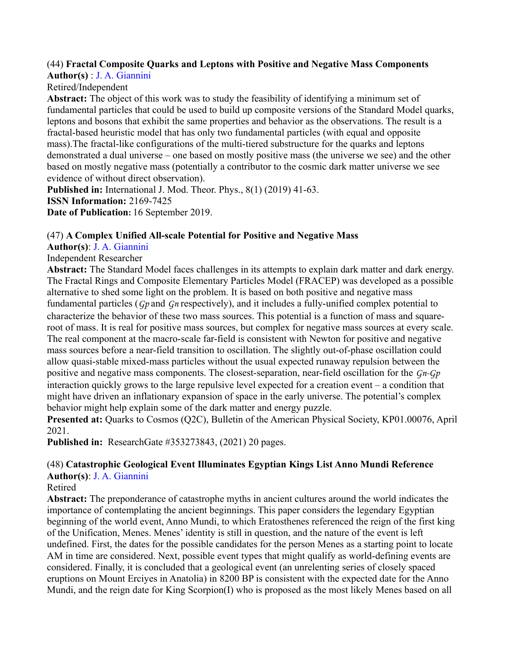# (44) **Fractal Composite Quarks and Leptons with Positive and Negative Mass Components**

**Author(s)** : J. A. Giannini Retired/Independent

**Abstract:** The object of this work was to study the feasibility of identifying a minimum set of fundamental particles that could be used to build up composite versions of the Standard Model quarks, leptons and bosons that exhibit the same properties and behavior as the observations. The result is a fractal-based heuristic model that has only two fundamental particles (with equal and opposite mass).The fractal-like configurations of the multi-tiered substructure for the quarks and leptons demonstrated a dual universe – one based on mostly positive mass (the universe we see) and the other based on mostly negative mass (potentially a contributor to the cosmic dark matter universe we see evidence of without direct observation).

**Published in:** International J. Mod. Theor. Phys., 8(1) (2019) 41-63. **ISSN Information:** 2169-7425 **Date of Publication:** 16 September 2019.

# (47) **A Complex Unified All-scale Potential for Positive and Negative Mass**

# **Author(s)**: J. A. Giannini

# Independent Researcher

**Abstract:** The Standard Model faces challenges in its attempts to explain dark matter and dark energy. The Fractal Rings and Composite Elementary Particles Model (FRACEP) was developed as a possible alternative to shed some light on the problem. It is based on both positive and negative mass fundamental particles (*Gp* and *Gn* respectively), and it includes a fully-unified complex potential to characterize the behavior of these two mass sources. This potential is a function of mass and squareroot of mass. It is real for positive mass sources, but complex for negative mass sources at every scale. The real component at the macro-scale far-field is consistent with Newton for positive and negative mass sources before a near-field transition to oscillation. The slightly out-of-phase oscillation could allow quasi-stable mixed-mass particles without the usual expected runaway repulsion between the positive and negative mass components. The closest-separation, near-field oscillation for the *Gn-Gp*  interaction quickly grows to the large repulsive level expected for a creation event – a condition that might have driven an inflationary expansion of space in the early universe. The potential's complex behavior might help explain some of the dark matter and energy puzzle.

**Presented at:** Quarks to Cosmos (Q2C), Bulletin of the American Physical Society, KP01.00076, April 2021.

**Published in:** ResearchGate #353273843, (2021) 20 pages.

#### (48) **Catastrophic Geological Event Illuminates Egyptian Kings List Anno Mundi Reference Author(s)**: J. A. Giannini

# Retired

**Abstract:** The preponderance of catastrophe myths in ancient cultures around the world indicates the importance of contemplating the ancient beginnings. This paper considers the legendary Egyptian beginning of the world event, Anno Mundi, to which Eratosthenes referenced the reign of the first king of the Unification, Menes. Menes' identity is still in question, and the nature of the event is left undefined. First, the dates for the possible candidates for the person Menes as a starting point to locate AM in time are considered. Next, possible event types that might qualify as world-defining events are considered. Finally, it is concluded that a geological event (an unrelenting series of closely spaced eruptions on Mount Erciyes in Anatolia) in 8200 BP is consistent with the expected date for the Anno Mundi, and the reign date for King Scorpion(I) who is proposed as the most likely Menes based on all